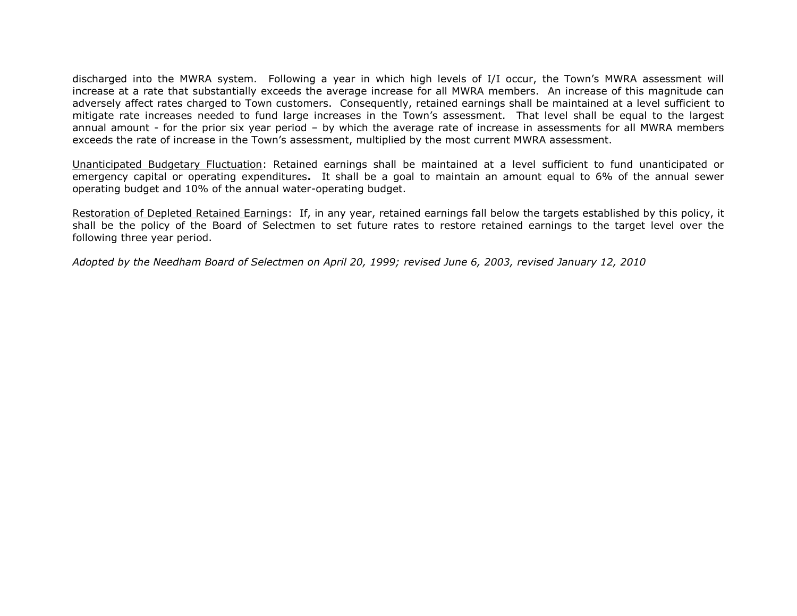## Town of Needham Capital Improvement Plan January 2019

discharged into the MWRA system. Following a year in which high levels of I/I occur, the Town's MWRA assessment will increase at a rate that substantially exceeds the average increase for all MWRA members. An increase of this magnitude can adversely affect rates charged to Town customers. Consequently, retained earnings shall be maintained at a level sufficient to mitigate rate increases needed to fund large increases in the Town's assessment. That level shall be equal to the largest annual amount - for the prior six year period – by which the average rate of increase in assessments for all MWRA members exceeds the rate of increase in the Town's assessment, multiplied by the most current MWRA assessment.

Unanticipated Budgetary Fluctuation: Retained earnings shall be maintained at a level sufficient to fund unanticipated or emergency capital or operating expenditures**.** It shall be a goal to maintain an amount equal to 6% of the annual sewer operating budget and 10% of the annual water-operating budget.

Restoration of Depleted Retained Earnings: If, in any year, retained earnings fall below the targets established by this policy, it shall be the policy of the Board of Selectmen to set future rates to restore retained earnings to the target level over the following three year period.

*Adopted by the Needham Board of Selectmen on April 20, 1999; revised June 6, 2003, revised January 12, 2010*